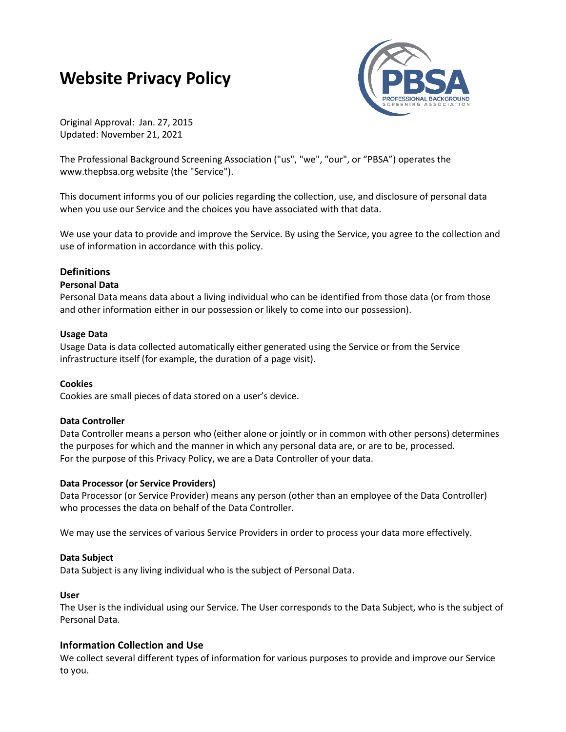# **Website Privacy Policy**



Original Approval: Jan. 27, 2015 Updated: November 21, 2021

The Professional Background Screening Association ("us", "we", "our", or "PBSA") operates the www.thepbsa.org website (the "Service").

This document informs you of our policies regarding the collection, use, and disclosure of personal data when you use our Service and the choices you have associated with that data.

We use your data to provide and improve the Service. By using the Service, you agree to the collection and use of information in accordance with this policy.

## **Definitions**

## **Personal Data**

Personal Data means data about a living individual who can be identified from those data (or from those and other information either in our possession or likely to come into our possession).

#### **Usage Data**

Usage Data is data collected automatically either generated using the Service or from the Service infrastructure itself (for example, the duration of a page visit).

## **Cookies**

Cookies are small pieces of data stored on a user's device.

## **Data Controller**

Data Controller means a person who (either alone or jointly or in common with other persons) determines the purposes for which and the manner in which any personal data are, or are to be, processed. For the purpose of this Privacy Policy, we are a Data Controller of your data.

## **Data Processor (or Service Providers)**

Data Processor (or Service Provider) means any person (other than an employee of the Data Controller) who processes the data on behalf of the Data Controller.

We may use the services of various Service Providers in order to process your data more effectively.

## **Data Subject**

Data Subject is any living individual who is the subject of Personal Data.

#### **User**

The User is the individual using our Service. The User corresponds to the Data Subject, who is the subject of Personal Data.

## **Information Collection and Use**

We collect several different types of information for various purposes to provide and improve our Service to you.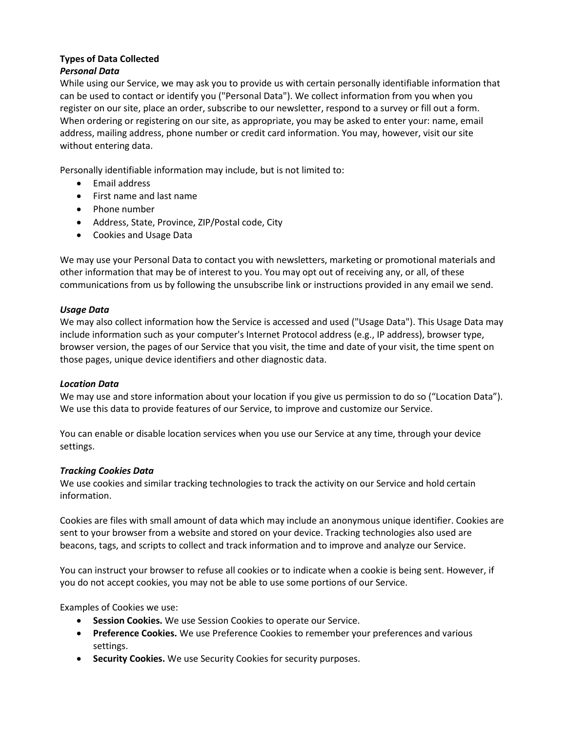## **Types of Data Collected**

## *Personal Data*

While using our Service, we may ask you to provide us with certain personally identifiable information that can be used to contact or identify you ("Personal Data"). We collect information from you when you register on our site, place an order, subscribe to our newsletter, respond to a survey or fill out a form. When ordering or registering on our site, as appropriate, you may be asked to enter your: name, email address, mailing address, phone number or credit card information. You may, however, visit our site without entering data.

Personally identifiable information may include, but is not limited to:

- Email address
- First name and last name
- Phone number
- Address, State, Province, ZIP/Postal code, City
- Cookies and Usage Data

We may use your Personal Data to contact you with newsletters, marketing or promotional materials and other information that may be of interest to you. You may opt out of receiving any, or all, of these communications from us by following the unsubscribe link or instructions provided in any email we send.

## *Usage Data*

We may also collect information how the Service is accessed and used ("Usage Data"). This Usage Data may include information such as your computer's Internet Protocol address (e.g., IP address), browser type, browser version, the pages of our Service that you visit, the time and date of your visit, the time spent on those pages, unique device identifiers and other diagnostic data.

## *Location Data*

We may use and store information about your location if you give us permission to do so ("Location Data"). We use this data to provide features of our Service, to improve and customize our Service.

You can enable or disable location services when you use our Service at any time, through your device settings.

## *Tracking Cookies Data*

We use cookies and similar tracking technologies to track the activity on our Service and hold certain information.

Cookies are files with small amount of data which may include an anonymous unique identifier. Cookies are sent to your browser from a website and stored on your device. Tracking technologies also used are beacons, tags, and scripts to collect and track information and to improve and analyze our Service.

You can instruct your browser to refuse all cookies or to indicate when a cookie is being sent. However, if you do not accept cookies, you may not be able to use some portions of our Service.

Examples of Cookies we use:

- **Session Cookies.** We use Session Cookies to operate our Service.
- **Preference Cookies.** We use Preference Cookies to remember your preferences and various settings.
- **Security Cookies.** We use Security Cookies for security purposes.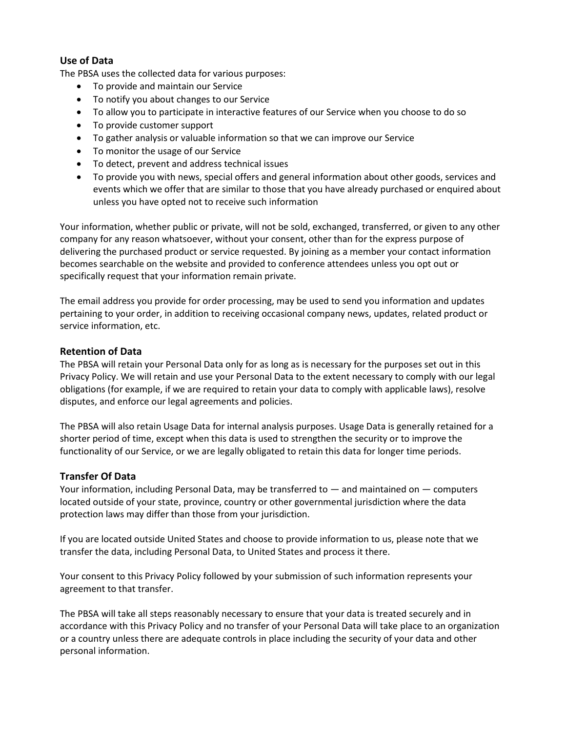## **Use of Data**

The PBSA uses the collected data for various purposes:

- To provide and maintain our Service
- To notify you about changes to our Service
- To allow you to participate in interactive features of our Service when you choose to do so
- To provide customer support
- To gather analysis or valuable information so that we can improve our Service
- To monitor the usage of our Service
- To detect, prevent and address technical issues
- To provide you with news, special offers and general information about other goods, services and events which we offer that are similar to those that you have already purchased or enquired about unless you have opted not to receive such information

Your information, whether public or private, will not be sold, exchanged, transferred, or given to any other company for any reason whatsoever, without your consent, other than for the express purpose of delivering the purchased product or service requested. By joining as a member your contact information becomes searchable on the website and provided to conference attendees unless you opt out or specifically request that your information remain private.

The email address you provide for order processing, may be used to send you information and updates pertaining to your order, in addition to receiving occasional company news, updates, related product or service information, etc.

## **Retention of Data**

The PBSA will retain your Personal Data only for as long as is necessary for the purposes set out in this Privacy Policy. We will retain and use your Personal Data to the extent necessary to comply with our legal obligations (for example, if we are required to retain your data to comply with applicable laws), resolve disputes, and enforce our legal agreements and policies.

The PBSA will also retain Usage Data for internal analysis purposes. Usage Data is generally retained for a shorter period of time, except when this data is used to strengthen the security or to improve the functionality of our Service, or we are legally obligated to retain this data for longer time periods.

## **Transfer Of Data**

Your information, including Personal Data, may be transferred to  $-$  and maintained on  $-$  computers located outside of your state, province, country or other governmental jurisdiction where the data protection laws may differ than those from your jurisdiction.

If you are located outside United States and choose to provide information to us, please note that we transfer the data, including Personal Data, to United States and process it there.

Your consent to this Privacy Policy followed by your submission of such information represents your agreement to that transfer.

The PBSA will take all steps reasonably necessary to ensure that your data is treated securely and in accordance with this Privacy Policy and no transfer of your Personal Data will take place to an organization or a country unless there are adequate controls in place including the security of your data and other personal information.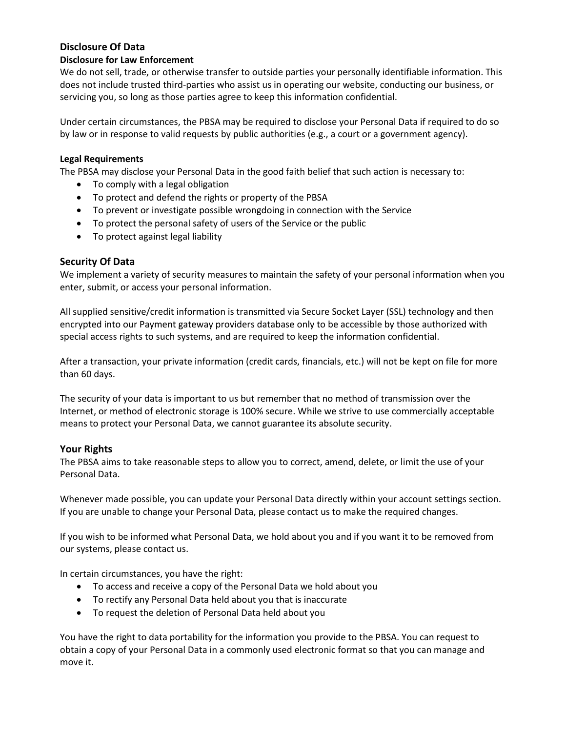## **Disclosure Of Data**

## **Disclosure for Law Enforcement**

We do not sell, trade, or otherwise transfer to outside parties your personally identifiable information. This does not include trusted third-parties who assist us in operating our website, conducting our business, or servicing you, so long as those parties agree to keep this information confidential.

Under certain circumstances, the PBSA may be required to disclose your Personal Data if required to do so by law or in response to valid requests by public authorities (e.g., a court or a government agency).

## **Legal Requirements**

The PBSA may disclose your Personal Data in the good faith belief that such action is necessary to:

- To comply with a legal obligation
- To protect and defend the rights or property of the PBSA
- To prevent or investigate possible wrongdoing in connection with the Service
- To protect the personal safety of users of the Service or the public
- To protect against legal liability

## **Security Of Data**

We implement a variety of security measures to maintain the safety of your personal information when you enter, submit, or access your personal information.

All supplied sensitive/credit information is transmitted via Secure Socket Layer (SSL) technology and then encrypted into our Payment gateway providers database only to be accessible by those authorized with special access rights to such systems, and are required to keep the information confidential.

After a transaction, your private information (credit cards, financials, etc.) will not be kept on file for more than 60 days.

The security of your data is important to us but remember that no method of transmission over the Internet, or method of electronic storage is 100% secure. While we strive to use commercially acceptable means to protect your Personal Data, we cannot guarantee its absolute security.

## **Your Rights**

The PBSA aims to take reasonable steps to allow you to correct, amend, delete, or limit the use of your Personal Data.

Whenever made possible, you can update your Personal Data directly within your account settings section. If you are unable to change your Personal Data, please contact us to make the required changes.

If you wish to be informed what Personal Data, we hold about you and if you want it to be removed from our systems, please contact us.

In certain circumstances, you have the right:

- To access and receive a copy of the Personal Data we hold about you
- To rectify any Personal Data held about you that is inaccurate
- To request the deletion of Personal Data held about you

You have the right to data portability for the information you provide to the PBSA. You can request to obtain a copy of your Personal Data in a commonly used electronic format so that you can manage and move it.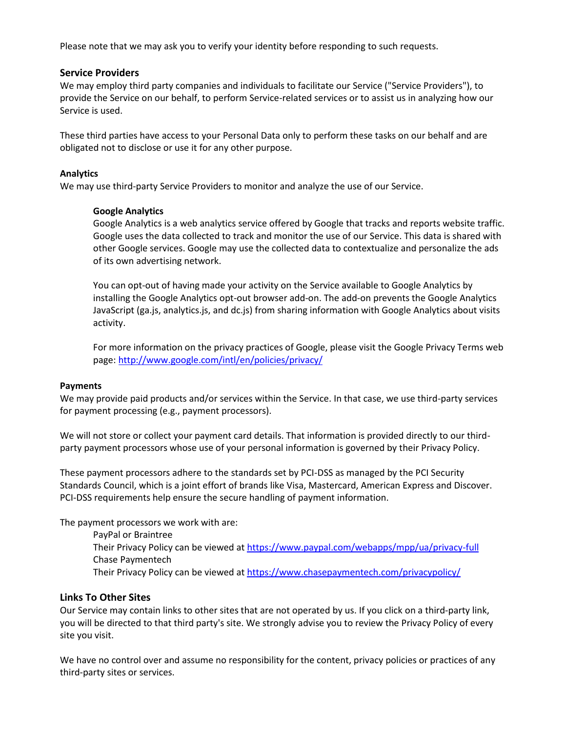Please note that we may ask you to verify your identity before responding to such requests.

## **Service Providers**

We may employ third party companies and individuals to facilitate our Service ("Service Providers"), to provide the Service on our behalf, to perform Service-related services or to assist us in analyzing how our Service is used.

These third parties have access to your Personal Data only to perform these tasks on our behalf and are obligated not to disclose or use it for any other purpose.

#### **Analytics**

We may use third-party Service Providers to monitor and analyze the use of our Service.

#### **Google Analytics**

Google Analytics is a web analytics service offered by Google that tracks and reports website traffic. Google uses the data collected to track and monitor the use of our Service. This data is shared with other Google services. Google may use the collected data to contextualize and personalize the ads of its own advertising network.

You can opt-out of having made your activity on the Service available to Google Analytics by installing the Google Analytics opt-out browser add-on. The add-on prevents the Google Analytics JavaScript (ga.js, analytics.js, and dc.js) from sharing information with Google Analytics about visits activity.

For more information on the privacy practices of Google, please visit the Google Privacy Terms web page:<http://www.google.com/intl/en/policies/privacy/>

#### **Payments**

We may provide paid products and/or services within the Service. In that case, we use third-party services for payment processing (e.g., payment processors).

We will not store or collect your payment card details. That information is provided directly to our thirdparty payment processors whose use of your personal information is governed by their Privacy Policy.

These payment processors adhere to the standards set by PCI-DSS as managed by the PCI Security Standards Council, which is a joint effort of brands like Visa, Mastercard, American Express and Discover. PCI-DSS requirements help ensure the secure handling of payment information.

The payment processors we work with are:

PayPal or Braintree Their Privacy Policy can be viewed at<https://www.paypal.com/webapps/mpp/ua/privacy-full> Chase Paymentech Their Privacy Policy can be viewed at <https://www.chasepaymentech.com/privacypolicy/>

## **Links To Other Sites**

Our Service may contain links to other sites that are not operated by us. If you click on a third-party link, you will be directed to that third party's site. We strongly advise you to review the Privacy Policy of every site you visit.

We have no control over and assume no responsibility for the content, privacy policies or practices of any third-party sites or services.